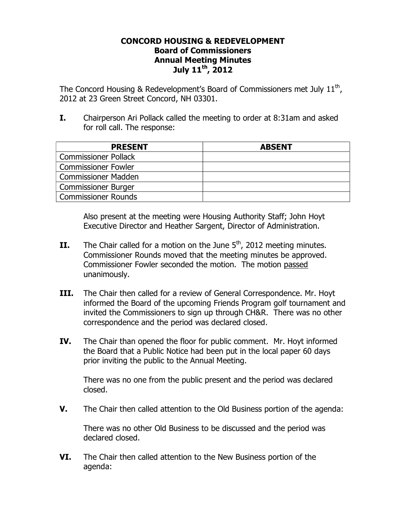#### **CONCORD HOUSING & REDEVELOPMENT Board of Commissioners Annual Meeting Minutes July 11th, 2012**

The Concord Housing & Redevelopment's Board of Commissioners met July 11<sup>th</sup>, 2012 at 23 Green Street Concord, NH 03301.

**I.** Chairperson Ari Pollack called the meeting to order at 8:31am and asked for roll call. The response:

| <b>PRESENT</b>              | <b>ABSENT</b> |
|-----------------------------|---------------|
| <b>Commissioner Pollack</b> |               |
| <b>Commissioner Fowler</b>  |               |
| Commissioner Madden         |               |
| <b>Commissioner Burger</b>  |               |
| <b>Commissioner Rounds</b>  |               |

Also present at the meeting were Housing Authority Staff; John Hoyt Executive Director and Heather Sargent, Director of Administration.

- **II.** The Chair called for a motion on the June 5<sup>th</sup>, 2012 meeting minutes. Commissioner Rounds moved that the meeting minutes be approved. Commissioner Fowler seconded the motion. The motion passed unanimously.
- **III.** The Chair then called for a review of General Correspondence. Mr. Hoyt informed the Board of the upcoming Friends Program golf tournament and invited the Commissioners to sign up through CH&R. There was no other correspondence and the period was declared closed.
- **IV.** The Chair than opened the floor for public comment. Mr. Hoyt informed the Board that a Public Notice had been put in the local paper 60 days prior inviting the public to the Annual Meeting.

There was no one from the public present and the period was declared closed.

**V.** The Chair then called attention to the Old Business portion of the agenda:

There was no other Old Business to be discussed and the period was declared closed.

**VI.** The Chair then called attention to the New Business portion of the agenda: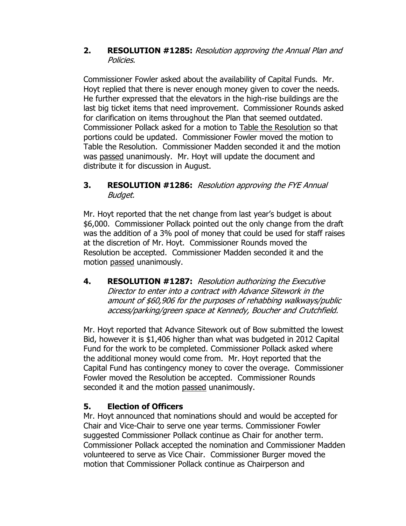### **2. RESOLUTION #1285:** Resolution approving the Annual Plan and Policies.

Commissioner Fowler asked about the availability of Capital Funds. Mr. Hoyt replied that there is never enough money given to cover the needs. He further expressed that the elevators in the high-rise buildings are the last big ticket items that need improvement. Commissioner Rounds asked for clarification on items throughout the Plan that seemed outdated. Commissioner Pollack asked for a motion to Table the Resolution so that portions could be updated. Commissioner Fowler moved the motion to Table the Resolution. Commissioner Madden seconded it and the motion was passed unanimously. Mr. Hoyt will update the document and distribute it for discussion in August.

## **3. RESOLUTION #1286:** Resolution approving the FYE Annual Budget.

Mr. Hoyt reported that the net change from last year's budget is about \$6,000. Commissioner Pollack pointed out the only change from the draft was the addition of a 3% pool of money that could be used for staff raises at the discretion of Mr. Hoyt. Commissioner Rounds moved the Resolution be accepted. Commissioner Madden seconded it and the motion passed unanimously.

**4. RESOLUTION #1287:** Resolution authorizing the Executive Director to enter into a contract with Advance Sitework in the amount of \$60,906 for the purposes of rehabbing walkways/public access/parking/green space at Kennedy, Boucher and Crutchfield.

 Mr. Hoyt reported that Advance Sitework out of Bow submitted the lowest Bid, however it is \$1,406 higher than what was budgeted in 2012 Capital Fund for the work to be completed. Commissioner Pollack asked where the additional money would come from. Mr. Hoyt reported that the Capital Fund has contingency money to cover the overage. Commissioner Fowler moved the Resolution be accepted. Commissioner Rounds seconded it and the motion passed unanimously.

# **5. Election of Officers**

Mr. Hoyt announced that nominations should and would be accepted for Chair and Vice-Chair to serve one year terms. Commissioner Fowler suggested Commissioner Pollack continue as Chair for another term. Commissioner Pollack accepted the nomination and Commissioner Madden volunteered to serve as Vice Chair. Commissioner Burger moved the motion that Commissioner Pollack continue as Chairperson and